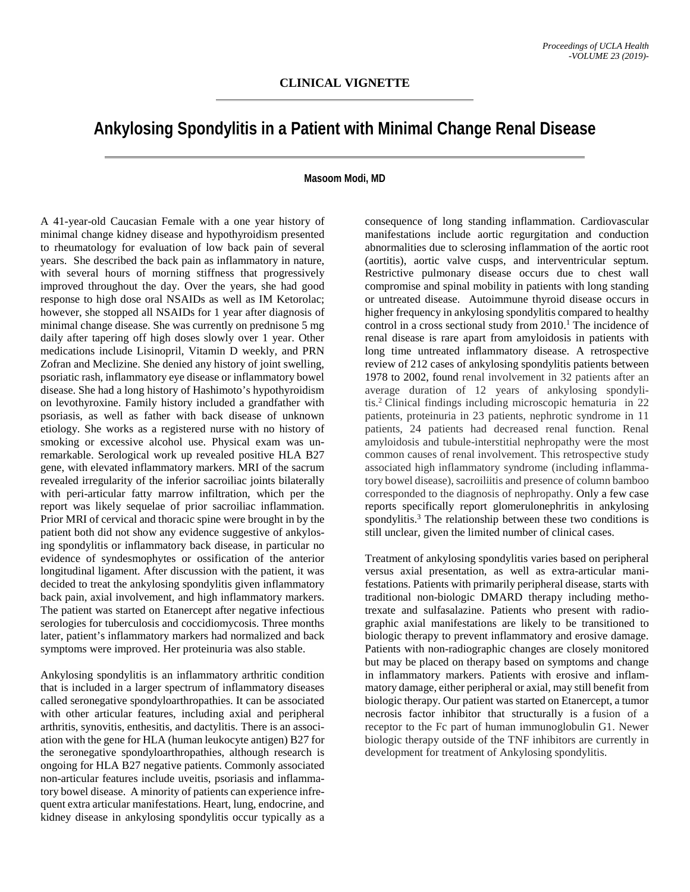## **Ankylosing Spondylitis in a Patient with Minimal Change Renal Disease**

## **Masoom Modi, MD**

A 41-year-old Caucasian Female with a one year history of minimal change kidney disease and hypothyroidism presented to rheumatology for evaluation of low back pain of several years. She described the back pain as inflammatory in nature, with several hours of morning stiffness that progressively improved throughout the day. Over the years, she had good response to high dose oral NSAIDs as well as IM Ketorolac; however, she stopped all NSAIDs for 1 year after diagnosis of minimal change disease. She was currently on prednisone 5 mg daily after tapering off high doses slowly over 1 year. Other medications include Lisinopril, Vitamin D weekly, and PRN Zofran and Meclizine. She denied any history of joint swelling, psoriatic rash, inflammatory eye disease or inflammatory bowel disease. She had a long history of Hashimoto's hypothyroidism on levothyroxine. Family history included a grandfather with psoriasis, as well as father with back disease of unknown etiology. She works as a registered nurse with no history of smoking or excessive alcohol use. Physical exam was unremarkable. Serological work up revealed positive HLA B27 gene, with elevated inflammatory markers. MRI of the sacrum revealed irregularity of the inferior sacroiliac joints bilaterally with peri-articular fatty marrow infiltration, which per the report was likely sequelae of prior sacroiliac inflammation. Prior MRI of cervical and thoracic spine were brought in by the patient both did not show any evidence suggestive of ankylosing spondylitis or inflammatory back disease, in particular no evidence of syndesmophytes or ossification of the anterior longitudinal ligament. After discussion with the patient, it was decided to treat the ankylosing spondylitis given inflammatory back pain, axial involvement, and high inflammatory markers. The patient was started on Etanercept after negative infectious serologies for tuberculosis and coccidiomycosis. Three months later, patient's inflammatory markers had normalized and back symptoms were improved. Her proteinuria was also stable.

Ankylosing spondylitis is an inflammatory arthritic condition that is included in a larger spectrum of inflammatory diseases called seronegative spondyloarthropathies. It can be associated with other articular features, including axial and peripheral arthritis, synovitis, enthesitis, and dactylitis. There is an association with the gene for HLA (human leukocyte antigen) B27 for the seronegative spondyloarthropathies, although research is ongoing for HLA B27 negative patients. Commonly associated non-articular features include uveitis, psoriasis and inflammatory bowel disease. A minority of patients can experience infrequent extra articular manifestations. Heart, lung, endocrine, and kidney disease in ankylosing spondylitis occur typically as a consequence of long standing inflammation. Cardiovascular manifestations include aortic regurgitation and conduction abnormalities due to sclerosing inflammation of the aortic root (aortitis), aortic valve cusps, and interventricular septum. Restrictive pulmonary disease occurs due to chest wall compromise and spinal mobility in patients with long standing or untreated disease. Autoimmune thyroid disease occurs in higher frequency in ankylosing spondylitis compared to healthy control in a cross sectional study from  $2010<sup>1</sup>$ . The incidence of renal disease is rare apart from amyloidosis in patients with long time untreated inflammatory disease. A retrospective review of 212 cases of ankylosing spondylitis patients between 1978 to 2002, found renal involvement in 32 patients after an average duration of 12 years of ankylosing spondylitis. <sup>2</sup> Clinical findings including microscopic hematuria in 22 patients, proteinuria in 23 patients, nephrotic syndrome in 11 patients, 24 patients had decreased renal function. Renal amyloidosis and tubule-interstitial nephropathy were the most common causes of renal involvement. This retrospective study associated high inflammatory syndrome (including inflammatory bowel disease), sacroiliitis and presence of column bamboo corresponded to the diagnosis of nephropathy. Only a few case reports specifically report glomerulonephritis in ankylosing spondylitis.<sup>3</sup> The relationship between these two conditions is still unclear, given the limited number of clinical cases.

Treatment of ankylosing spondylitis varies based on peripheral versus axial presentation, as well as extra-articular manifestations. Patients with primarily peripheral disease, starts with traditional non-biologic DMARD therapy including methotrexate and sulfasalazine. Patients who present with radiographic axial manifestations are likely to be transitioned to biologic therapy to prevent inflammatory and erosive damage. Patients with non-radiographic changes are closely monitored but may be placed on therapy based on symptoms and change in inflammatory markers. Patients with erosive and inflammatory damage, either peripheral or axial, may still benefit from biologic therapy. Our patient was started on Etanercept, a tumor necrosis factor inhibitor that structurally is a fusion of a receptor to the Fc part of human immunoglobulin G1. Newer biologic therapy outside of the TNF inhibitors are currently in development for treatment of Ankylosing spondylitis.